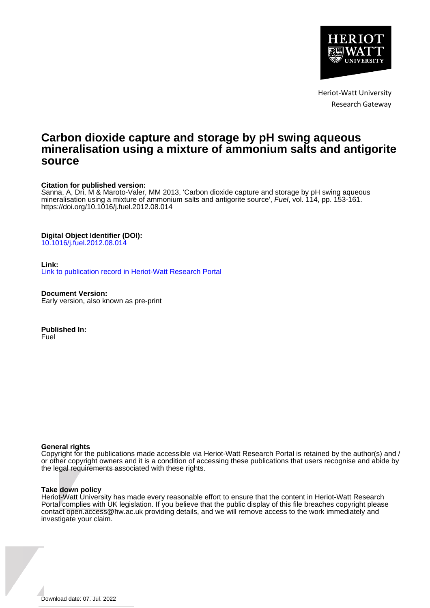

Heriot-Watt University Research Gateway

# **Carbon dioxide capture and storage by pH swing aqueous mineralisation using a mixture of ammonium salts and antigorite source**

# **Citation for published version:**

Sanna, A, Dri, M & Maroto-Valer, MM 2013, 'Carbon dioxide capture and storage by pH swing aqueous mineralisation using a mixture of ammonium salts and antigorite source', Fuel, vol. 114, pp. 153-161. <https://doi.org/10.1016/j.fuel.2012.08.014>

# **Digital Object Identifier (DOI):**

[10.1016/j.fuel.2012.08.014](https://doi.org/10.1016/j.fuel.2012.08.014)

## **Link:**

[Link to publication record in Heriot-Watt Research Portal](https://researchportal.hw.ac.uk/en/publications/23377265-9534-4176-93f8-7db9b52f82cb)

**Document Version:** Early version, also known as pre-print

**Published In:** Fuel

#### **General rights**

Copyright for the publications made accessible via Heriot-Watt Research Portal is retained by the author(s) and / or other copyright owners and it is a condition of accessing these publications that users recognise and abide by the legal requirements associated with these rights.

#### **Take down policy**

Heriot-Watt University has made every reasonable effort to ensure that the content in Heriot-Watt Research Portal complies with UK legislation. If you believe that the public display of this file breaches copyright please contact open.access@hw.ac.uk providing details, and we will remove access to the work immediately and investigate your claim.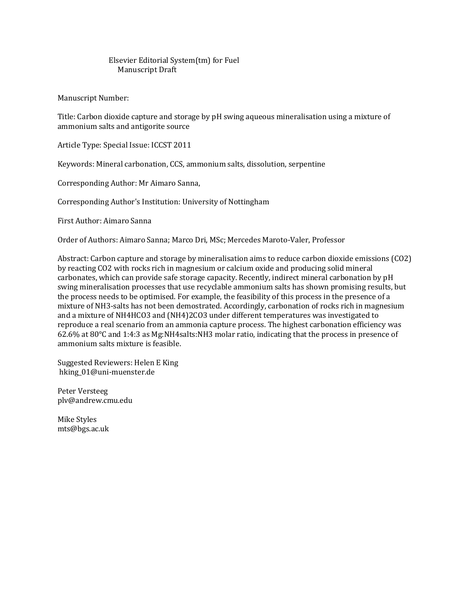# Elsevier Editorial System(tm) for Fuel Manuscript Draft

Manuscript Number:

Title: Carbon dioxide capture and storage by pH swing aqueous mineralisation using a mixture of ammonium salts and antigorite source

Article Type: Special Issue: ICCST 2011

Keywords: Mineral carbonation, CCS, ammonium salts, dissolution, serpentine

Corresponding Author: Mr Aimaro Sanna,

Corresponding Author's Institution: University of Nottingham

First Author: Aimaro Sanna

Order of Authors: Aimaro Sanna; Marco Dri, MSc; Mercedes Maroto-Valer, Professor

Abstract: Carbon capture and storage by mineralisation aims to reduce carbon dioxide emissions (CO2) by reacting CO2 with rocks rich in magnesium or calcium oxide and producing solid mineral carbonates, which can provide safe storage capacity. Recently, indirect mineral carbonation by pH swing mineralisation processes that use recyclable ammonium salts has shown promising results, but the process needs to be optimised. For example, the feasibility of this process in the presence of a mixture of NH3-salts has not been demostrated. Accordingly, carbonation of rocks rich in magnesium and a mixture of NH4HCO3 and (NH4)2CO3 under different temperatures was investigated to reproduce a real scenario from an ammonia capture process. The highest carbonation efficiency was 62.6% at 80°C and 1:4:3 as Mg:NH4salts:NH3 molar ratio, indicating that the process in presence of ammonium salts mixture is feasible.

Suggested Reviewers: Helen E King hking\_01@uni-muenster.de

Peter Versteeg plv@andrew.cmu.edu

Mike Styles mts@bgs.ac.uk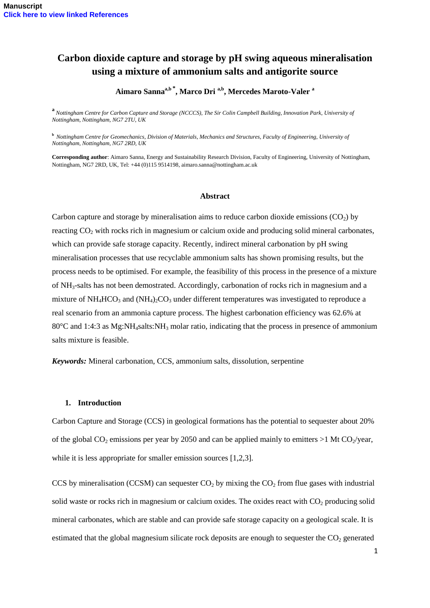# **Carbon dioxide capture and storage by pH swing aqueous mineralisation using a mixture of ammonium salts and antigorite source**

**Aimaro Sannaa,b \* , Marco Dri a,b , Mercedes Maroto-Valer <sup>a</sup>**

**a** *Nottingham Centre for Carbon Capture and Storage (NCCCS), The Sir Colin Campbell Building, Innovation Park, University of Nottingham, Nottingham, NG7 2TU, UK*

**<sup>b</sup>** *Nottingham Centre for Geomechanics, Division of Materials, Mechanics and Structures, Faculty of Engineering, University of Nottingham, Nottingham, NG7 2RD, UK*

**Corresponding author**: Aimaro Sanna, Energy and Sustainability Research Division, Faculty of Engineering, University of Nottingham, Nottingham, NG7 2RD, UK, Tel: +44 (0)115 9514198[, aimaro.sanna@nottingham.ac.uk](mailto:aimaro.sanna@nottingham.ac.uk)

#### **Abstract**

Carbon capture and storage by mineralisation aims to reduce carbon dioxide emissions  $(CO<sub>2</sub>)$  by reacting  $CO<sub>2</sub>$  with rocks rich in magnesium or calcium oxide and producing solid mineral carbonates, which can provide safe storage capacity. Recently, indirect mineral carbonation by pH swing mineralisation processes that use recyclable ammonium salts has shown promising results, but the process needs to be optimised. For example, the feasibility of this process in the presence of a mixture of NH3-salts has not been demostrated. Accordingly, carbonation of rocks rich in magnesium and a mixture of  $NH_4HCO_3$  and  $(NH_4)_2CO_3$  under different temperatures was investigated to reproduce a real scenario from an ammonia capture process. The highest carbonation efficiency was 62.6% at 80 $^{\circ}$ C and 1:4:3 as Mg:NH<sub>4</sub>salts:NH<sub>3</sub> molar ratio, indicating that the process in presence of ammonium salts mixture is feasible.

*Keywords:* Mineral carbonation, CCS, ammonium salts, dissolution, serpentine

#### **1. Introduction**

Carbon Capture and Storage (CCS) in geological formations has the potential to sequester about 20% of the global  $CO<sub>2</sub>$  emissions per year by 2050 and can be applied mainly to emitters  $>1$  Mt CO<sub>2</sub>/year, while it is less appropriate for smaller emission sources [1,2,3].

CCS by mineralisation (CCSM) can sequester  $CO<sub>2</sub>$  by mixing the  $CO<sub>2</sub>$  from flue gases with industrial solid waste or rocks rich in magnesium or calcium oxides. The oxides react with  $CO<sub>2</sub>$  producing solid mineral carbonates, which are stable and can provide safe storage capacity on a geological scale. It is estimated that the global magnesium silicate rock deposits are enough to sequester the  $CO<sub>2</sub>$  generated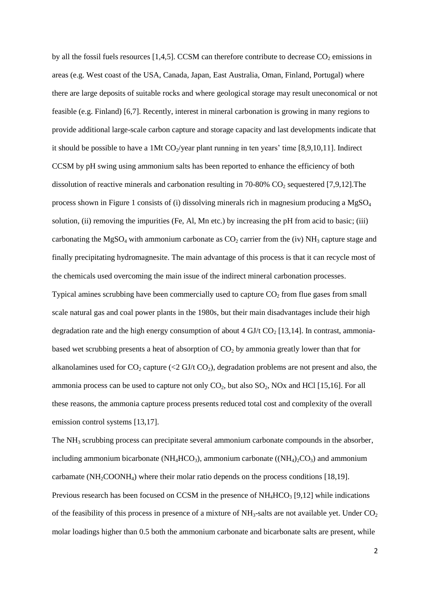by all the fossil fuels resources  $[1,4,5]$ . CCSM can therefore contribute to decrease CO<sub>2</sub> emissions in areas (e.g. West coast of the USA, Canada, Japan, East Australia, Oman, Finland, Portugal) where there are large deposits of suitable rocks and where geological storage may result uneconomical or not feasible (e.g. Finland) [6,7]. Recently, interest in mineral carbonation is growing in many regions to provide additional large-scale carbon capture and storage capacity and last developments indicate that it should be possible to have a 1Mt  $CO_2$ /year plant running in ten years' time [8,9,10,11]. Indirect CCSM by pH swing using ammonium salts has been reported to enhance the efficiency of both dissolution of reactive minerals and carbonation resulting in 70-80% CO<sub>2</sub> sequestered [7,9,12]. The process shown in Figure 1 consists of (i) dissolving minerals rich in magnesium producing a  $MgSO<sub>4</sub>$ solution, (ii) removing the impurities (Fe, Al, Mn etc.) by increasing the pH from acid to basic; (iii) carbonating the MgSO<sub>4</sub> with ammonium carbonate as  $CO<sub>2</sub>$  carrier from the (iv) NH<sub>3</sub> capture stage and finally precipitating hydromagnesite. The main advantage of this process is that it can recycle most of the chemicals used overcoming the main issue of the indirect mineral carbonation processes. Typical amines scrubbing have been commercially used to capture  $CO<sub>2</sub>$  from flue gases from small scale natural gas and coal power plants in the 1980s, but their main disadvantages include their high degradation rate and the high energy consumption of about 4 GJ/t  $CO<sub>2</sub>$  [13,14]. In contrast, ammoniabased wet scrubbing presents a heat of absorption of  $CO<sub>2</sub>$  by ammonia greatly lower than that for alkanolamines used for  $CO_2$  capture (<2 GJ/t  $CO_2$ ), degradation problems are not present and also, the ammonia process can be used to capture not only  $CO<sub>2</sub>$ , but also  $SO<sub>2</sub>$ , NOx and HCl [15,16]. For all these reasons, the ammonia capture process presents reduced total cost and complexity of the overall emission control systems [13,17].

The NH<sup>3</sup> scrubbing process can precipitate several ammonium carbonate compounds in the absorber, including ammonium bicarbonate ( $NH<sub>4</sub>HCO<sub>3</sub>$ ), ammonium carbonate ( $(NH<sub>4</sub>)<sub>2</sub>CO<sub>3</sub>$ ) and ammonium carbamate  $(NH<sub>2</sub>COONH<sub>4</sub>)$  where their molar ratio depends on the process conditions [18,19]. Previous research has been focused on CCSM in the presence of  $NH<sub>4</sub>HCO<sub>3</sub>$  [9,12] while indications of the feasibility of this process in presence of a mixture of  $NH<sub>3</sub>$ -salts are not available yet. Under  $CO<sub>2</sub>$ molar loadings higher than 0.5 both the ammonium carbonate and bicarbonate salts are present, while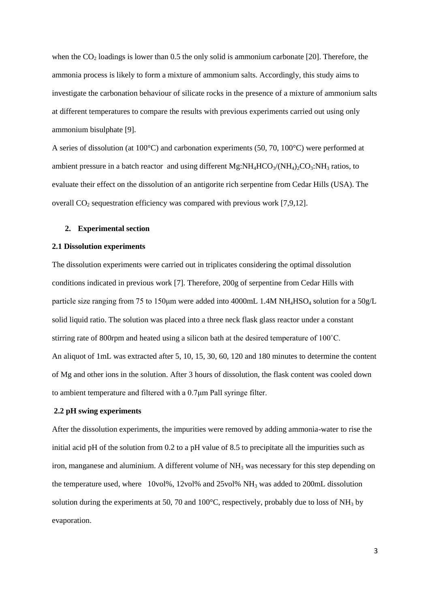when the  $CO<sub>2</sub>$  loadings is lower than 0.5 the only solid is ammonium carbonate [20]. Therefore, the ammonia process is likely to form a mixture of ammonium salts. Accordingly, this study aims to investigate the carbonation behaviour of silicate rocks in the presence of a mixture of ammonium salts at different temperatures to compare the results with previous experiments carried out using only ammonium bisulphate [9].

A series of dissolution (at 100°C) and carbonation experiments (50, 70, 100°C) were performed at ambient pressure in a batch reactor and using different Mg: $NH_4HCO_3/(NH_4)_2CO_3$ : $NH_3$  ratios, to evaluate their effect on the dissolution of an antigorite rich serpentine from Cedar Hills (USA). The overall  $CO<sub>2</sub>$  sequestration efficiency was compared with previous work [7,9,12].

# **2. Experimental section**

#### **2.1 Dissolution experiments**

The dissolution experiments were carried out in triplicates considering the optimal dissolution conditions indicated in previous work [7]. Therefore, 200g of serpentine from Cedar Hills with particle size ranging from 75 to 150 $\mu$ m were added into 4000mL 1.4M NH<sub>4</sub>HSO<sub>4</sub> solution for a 50g/L solid liquid ratio. The solution was placed into a three neck flask glass reactor under a constant stirring rate of 800rpm and heated using a silicon bath at the desired temperature of 100˚C. An aliquot of 1mL was extracted after 5, 10, 15, 30, 60, 120 and 180 minutes to determine the content of Mg and other ions in the solution. After 3 hours of dissolution, the flask content was cooled down to ambient temperature and filtered with a 0.7μm Pall syringe filter.

# **2.2 pH swing experiments**

After the dissolution experiments, the impurities were removed by adding ammonia-water to rise the initial acid pH of the solution from 0.2 to a pH value of 8.5 to precipitate all the impurities such as iron, manganese and aluminium. A different volume of  $NH<sub>3</sub>$  was necessary for this step depending on the temperature used, where 10vol%, 12vol% and 25vol% NH<sup>3</sup> was added to 200mL dissolution solution during the experiments at 50, 70 and 100 $^{\circ}$ C, respectively, probably due to loss of NH<sub>3</sub> by evaporation.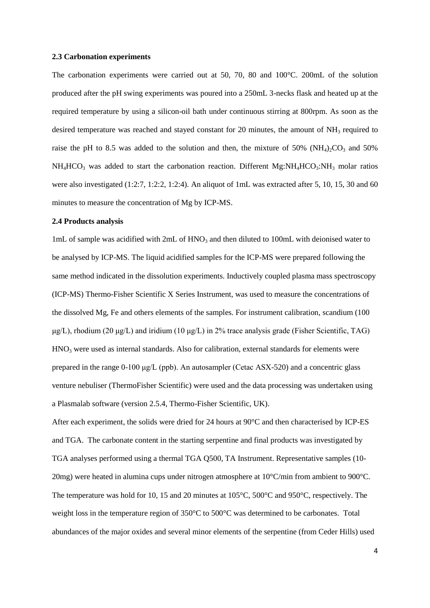#### **2.3 Carbonation experiments**

The carbonation experiments were carried out at 50, 70, 80 and 100°C. 200mL of the solution produced after the pH swing experiments was poured into a 250mL 3-necks flask and heated up at the required temperature by using a silicon-oil bath under continuous stirring at 800rpm. As soon as the desired temperature was reached and stayed constant for 20 minutes, the amount of  $NH_3$  required to raise the pH to 8.5 was added to the solution and then, the mixture of 50% ( $NH<sub>4</sub>$ ) $\sim$ CO<sub>3</sub> and 50%  $NH_4HCO_3$  was added to start the carbonation reaction. Different Mg: $NH_4HCO_3$ : $NH_3$  molar ratios were also investigated (1:2:7, 1:2:2, 1:2:4). An aliquot of 1mL was extracted after 5, 10, 15, 30 and 60 minutes to measure the concentration of Mg by ICP-MS.

## **2.4 Products analysis**

1mL of sample was acidified with  $2mL$  of  $HNO<sub>3</sub>$  and then diluted to 100mL with deionised water to be analysed by ICP-MS. The liquid acidified samples for the ICP-MS were prepared following the same method indicated in the dissolution experiments. Inductively coupled plasma mass spectroscopy (ICP-MS) Thermo-Fisher Scientific X Series Instrument, was used to measure the concentrations of the dissolved Mg, Fe and others elements of the samples. For instrument calibration, scandium (100 μg/L), rhodium (20 μg/L) and iridium (10 μg/L) in 2% trace analysis grade (Fisher Scientific, TAG) HNO<sup>3</sup> were used as internal standards. Also for calibration, external standards for elements were prepared in the range 0-100 μg/L (ppb). An autosampler (Cetac ASX-520) and a concentric glass venture nebuliser (ThermoFisher Scientific) were used and the data processing was undertaken using a Plasmalab software (version 2.5.4, Thermo-Fisher Scientific, UK).

After each experiment, the solids were dried for 24 hours at 90°C and then characterised by ICP-ES and TGA. The carbonate content in the starting serpentine and final products was investigated by TGA analyses performed using a thermal TGA Q500, TA Instrument. Representative samples (10- 20mg) were heated in alumina cups under nitrogen atmosphere at 10°C/min from ambient to 900°C. The temperature was hold for 10, 15 and 20 minutes at 105°C, 500°C and 950°C, respectively. The weight loss in the temperature region of 350°C to 500°C was determined to be carbonates. Total abundances of the major oxides and several minor elements of the serpentine (from Ceder Hills) used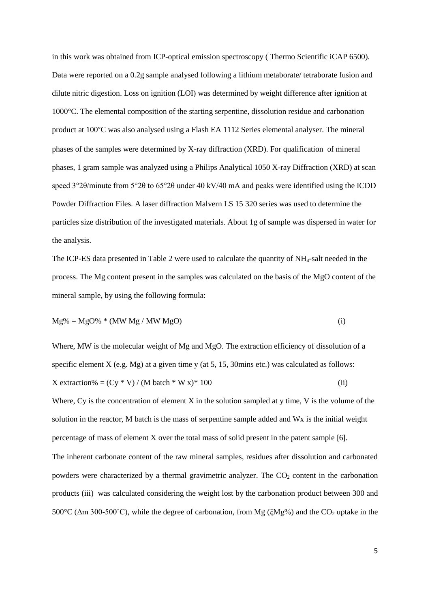in this work was obtained from ICP-optical emission spectroscopy ( [Thermo Scientific iCAP 6500\)](http://www.thermo.com/eThermo/CMA/PDFs/Articles/articlesFile_29099.pdf). Data were reported on a 0.2g sample analysed following a lithium metaborate/ tetraborate fusion and dilute nitric digestion. Loss on ignition (LOI) was determined by weight difference after ignition at 1000°C. The elemental composition of the starting serpentine, dissolution residue and carbonation product at 100°C was also analysed using a Flash EA 1112 Series elemental analyser. The mineral phases of the samples were determined by X-ray diffraction (XRD). For qualification of mineral phases, 1 gram sample was analyzed using a Philips Analytical 1050 X-ray Diffraction (XRD) at scan speed 3°2θ/minute from 5°2θ to 65°2θ under 40 kV/40 mA and peaks were identified using the ICDD Powder Diffraction Files. A laser diffraction Malvern LS 15 320 series was used to determine the particles size distribution of the investigated materials. About 1g of sample was dispersed in water for the analysis.

The ICP-ES data presented in Table 2 were used to calculate the quantity of NH4-salt needed in the process. The Mg content present in the samples was calculated on the basis of the MgO content of the mineral sample, by using the following formula:

$$
Mg\% = MgO\% * (MW Mg / MW MgO)
$$
 (i)

Where, MW is the molecular weight of Mg and MgO. The extraction efficiency of dissolution of a specific element X (e.g. Mg) at a given time y (at 5, 15, 30mins etc.) was calculated as follows:  $X$  extraction% =  $(Cy * V) / (M \text{ batch} * W x)^* 100$  (ii)

Where,  $Cy$  is the concentration of element  $X$  in the solution sampled at  $y$  time,  $V$  is the volume of the solution in the reactor, M batch is the mass of serpentine sample added and Wx is the initial weight percentage of mass of element X over the total mass of solid present in the patent sample [6]. The inherent carbonate content of the raw mineral samples, residues after dissolution and carbonated powders were characterized by a thermal gravimetric analyzer. The  $CO<sub>2</sub>$  content in the carbonation products (iii) was calculated considering the weight lost by the carbonation product between 300 and 500°C ( $\Delta$ m 300-500°C), while the degree of carbonation, from Mg ( $\zeta$ Mg%) and the CO<sub>2</sub> uptake in the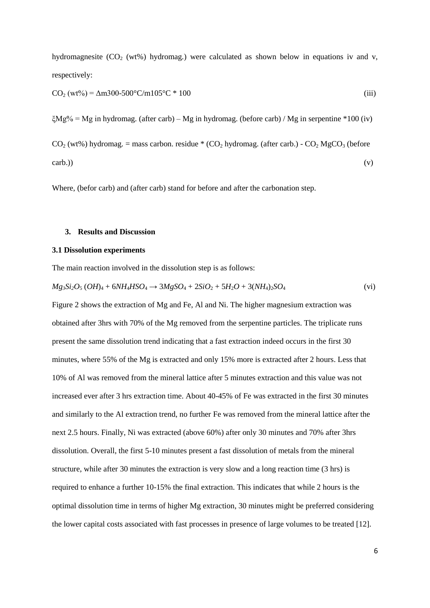hydromagnesite  $(CO<sub>2</sub> (wt%)$  hydromag.) were calculated as shown below in equations iv and v, respectively:

$$
CO2 (wt\%) = \Delta m 300-500°C/m 105°C * 100
$$
 (iii)

 $\zeta Mg\%$  = Mg in hydromag. (after carb) – Mg in hydromag. (before carb) / Mg in serpentine \*100 (iv)

 $CO<sub>2</sub>$  (wt%) hydromag. = mass carbon. residue \* (CO<sub>2</sub> hydromag. (after carb.) - CO<sub>2</sub> MgCO<sub>3</sub> (before  $\text{carb.})$  (v)

Where, (befor carb) and (after carb) stand for before and after the carbonation step.

## **3. Results and Discussion**

# **3.1 Dissolution experiments**

The main reaction involved in the dissolution step is as follows:

$$
Mg_3Si_2O_5(OH)_4 + 6NH_4HSO_4 \to 3MgSO_4 + 2SiO_2 + 5H_2O + 3(NH_4)_2SO_4
$$
 (vi)

Figure 2 shows the extraction of Mg and Fe, Al and Ni. The higher magnesium extraction was obtained after 3hrs with 70% of the Mg removed from the serpentine particles. The triplicate runs present the same dissolution trend indicating that a fast extraction indeed occurs in the first 30 minutes, where 55% of the Mg is extracted and only 15% more is extracted after 2 hours. Less that 10% of Al was removed from the mineral lattice after 5 minutes extraction and this value was not increased ever after 3 hrs extraction time. About 40-45% of Fe was extracted in the first 30 minutes and similarly to the Al extraction trend, no further Fe was removed from the mineral lattice after the next 2.5 hours. Finally, Ni was extracted (above 60%) after only 30 minutes and 70% after 3hrs dissolution. Overall, the first 5-10 minutes present a fast dissolution of metals from the mineral structure, while after 30 minutes the extraction is very slow and a long reaction time (3 hrs) is required to enhance a further 10-15% the final extraction. This indicates that while 2 hours is the optimal dissolution time in terms of higher Mg extraction, 30 minutes might be preferred considering the lower capital costs associated with fast processes in presence of large volumes to be treated [12].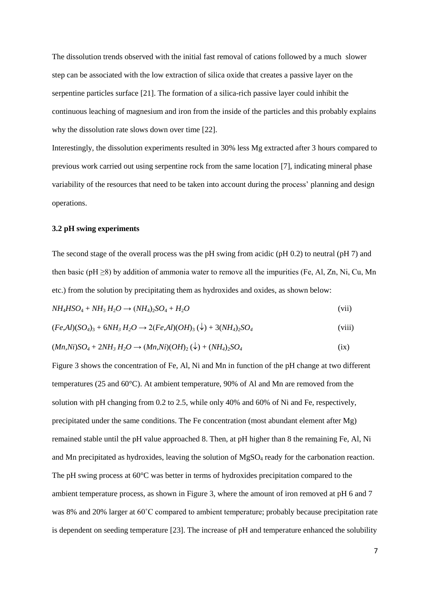The dissolution trends observed with the initial fast removal of cations followed by a much slower step can be associated with the low extraction of silica oxide that creates a passive layer on the serpentine particles surface [21]. The formation of a silica-rich passive layer could inhibit the continuous leaching of magnesium and iron from the inside of the particles and this probably explains why the dissolution rate slows down over time [22].

Interestingly, the dissolution experiments resulted in 30% less Mg extracted after 3 hours compared to previous work carried out using serpentine rock from the same location [7], indicating mineral phase variability of the resources that need to be taken into account during the process' planning and design operations.

# **3.2 pH swing experiments**

The second stage of the overall process was the pH swing from acidic (pH 0.2) to neutral (pH 7) and then basic (pH  $\geq$ 8) by addition of ammonia water to remove all the impurities (Fe, Al, Zn, Ni, Cu, Mn etc.) from the solution by precipitating them as hydroxides and oxides, as shown below:

$$
NH4HSO4 + NH3H2O \rightarrow (NH4)2SO4 + H2O
$$
 (vii)

$$
(Fe, Al)(SO4)3 + 6NH3H2O \rightarrow 2(Fe, Al)(OH)3(\downarrow) + 3(NH4)2SO4
$$
\n(viii)

$$
(Mn, Ni)SO4 + 2NH3H2O \rightarrow (Mn, Ni)(OH)2(\downarrow) + (NH4)2SO4
$$
 (ix)

Figure 3 shows the concentration of Fe, Al, Ni and Mn in function of the pH change at two different temperatures (25 and 60°C). At ambient temperature, 90% of Al and Mn are removed from the solution with pH changing from 0.2 to 2.5, while only 40% and 60% of Ni and Fe, respectively, precipitated under the same conditions. The Fe concentration (most abundant element after Mg) remained stable until the pH value approached 8. Then, at pH higher than 8 the remaining Fe, Al, Ni and Mn precipitated as hydroxides, leaving the solution of MgSO<sub>4</sub> ready for the carbonation reaction. The pH swing process at 60°C was better in terms of hydroxides precipitation compared to the ambient temperature process, as shown in Figure 3, where the amount of iron removed at pH 6 and 7 was 8% and 20% larger at 60˚C compared to ambient temperature; probably because precipitation rate is dependent on seeding temperature [23]. The increase of pH and temperature enhanced the solubility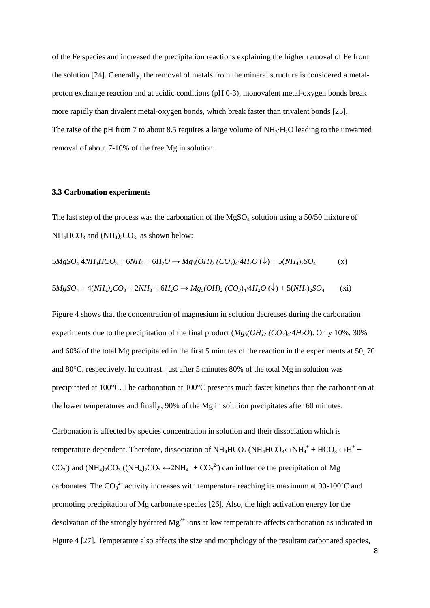of the Fe species and increased the precipitation reactions explaining the higher removal of Fe from the solution [24]. Generally, the removal of metals from the mineral structure is considered a metalproton exchange reaction and at acidic conditions (pH 0-3), monovalent metal-oxygen bonds break more rapidly than divalent metal-oxygen bonds, which break faster than trivalent bonds [25]. The raise of the pH from 7 to about 8.5 requires a large volume of  $NH<sub>3</sub>·H<sub>2</sub>O$  leading to the unwanted removal of about 7-10% of the free Mg in solution.

# **3.3 Carbonation experiments**

The last step of the process was the carbonation of the  $MgSO_4$  solution using a 50/50 mixture of  $NH_4HCO_3$  and  $(NH_4)_2CO_3$ , as shown below:

$$
5MgSO_4 \,4NH_4HCO_3 + 6NH_3 + 6H_2O \to Mg_5(OH)_2 (CO_3)_4 \cdot 4H_2O \,(\downarrow) + 5(NH_4)_2SO_4 \qquad (x)
$$
  

$$
5MgSO_4 + 4(NH_4)_2CO_3 + 2NH_3 + 6H_2O \to Mg_5(OH)_2 (CO_3)_4 \cdot 4H_2O \,(\downarrow) + 5(NH_4)_2SO_4 \qquad (xi)
$$

Figure 4 shows that the concentration of magnesium in solution decreases during the carbonation experiments due to the precipitation of the final product  $(Mg_5(OH)_2 (CO_3)_4 \cdot 4H_2O)$ . Only 10%, 30% and 60% of the total Mg precipitated in the first 5 minutes of the reaction in the experiments at 50, 70 and 80°C, respectively. In contrast, just after 5 minutes 80% of the total Mg in solution was precipitated at 100°C. The carbonation at 100°C presents much faster kinetics than the carbonation at the lower temperatures and finally, 90% of the Mg in solution precipitates after 60 minutes.

Carbonation is affected by species concentration in solution and their dissociation which is temperature-dependent. Therefore, dissociation of  $NH_4HCO_3$  ( $NH_4HCO_3 \leftrightarrow NH_4^+ + HCO_3 \leftrightarrow H^+ +$ CO<sub>3</sub><sup>-</sup>) and (NH<sub>4</sub>)<sub>2</sub>CO<sub>3</sub> ((NH<sub>4</sub>)<sub>2</sub>CO<sub>3</sub>  $\leftrightarrow$  2NH<sub>4</sub><sup>+</sup> + CO<sub>3</sub><sup>2</sup><sup>-</sup>) can influence the precipitation of Mg carbonates. The  $CO_3^2$  activity increases with temperature reaching its maximum at 90-100°C and promoting precipitation of Mg carbonate species [26]. Also, the high activation energy for the desolvation of the strongly hydrated  $Mg^{2+}$  ions at low temperature affects carbonation as indicated in Figure 4 [27]. Temperature also affects the size and morphology of the resultant carbonated species,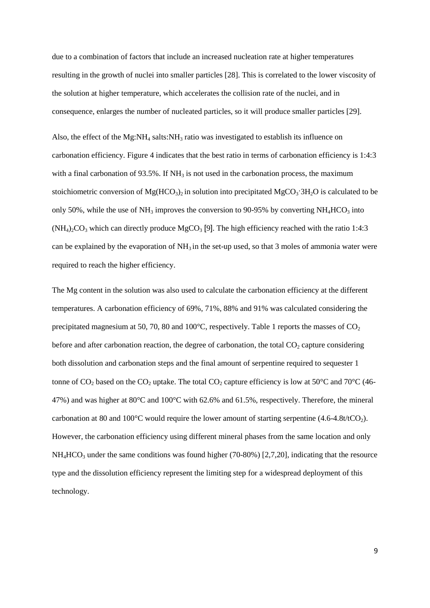due to a combination of factors that include an increased nucleation rate at higher temperatures resulting in the growth of nuclei into smaller particles [28]. This is correlated to the lower viscosity of the solution at higher temperature, which accelerates the collision rate of the nuclei, and in consequence, enlarges the number of nucleated particles, so it will produce smaller particles [29].

Also, the effect of the Mg:NH<sub>4</sub> salts:NH<sub>3</sub> ratio was investigated to establish its influence on carbonation efficiency. Figure 4 indicates that the best ratio in terms of carbonation efficiency is 1:4:3 with a final carbonation of 93.5%. If  $NH<sub>3</sub>$  is not used in the carbonation process, the maximum stoichiometric conversion of  $Mg(HCO<sub>3</sub>)<sub>2</sub>$  in solution into precipitated  $MgCO<sub>3</sub>·3H<sub>2</sub>O$  is calculated to be only 50%, while the use of NH<sub>3</sub> improves the conversion to 90-95% by converting NH<sub>4</sub>HCO<sub>3</sub> into  $(NH_4)_2CO_3$  which can directly produce MgCO<sub>3</sub> [9]. The high efficiency reached with the ratio 1:4:3 can be explained by the evaporation of  $NH_3$  in the set-up used, so that 3 moles of ammonia water were required to reach the higher efficiency.

The Mg content in the solution was also used to calculate the carbonation efficiency at the different temperatures. A carbonation efficiency of 69%, 71%, 88% and 91% was calculated considering the precipitated magnesium at 50, 70, 80 and 100 $^{\circ}$ C, respectively. Table 1 reports the masses of CO<sub>2</sub> before and after carbonation reaction, the degree of carbonation, the total  $CO<sub>2</sub>$  capture considering both dissolution and carbonation steps and the final amount of serpentine required to sequester 1 tonne of  $CO_2$  based on the  $CO_2$  uptake. The total  $CO_2$  capture efficiency is low at 50°C and 70°C (46-47%) and was higher at  $80^{\circ}$ C and  $100^{\circ}$ C with 62.6% and 61.5%, respectively. Therefore, the mineral carbonation at 80 and 100 $^{\circ}$ C would require the lower amount of starting serpentine (4.6-4.8t/tCO<sub>2</sub>). However, the carbonation efficiency using different mineral phases from the same location and only  $NH<sub>4</sub>HCO<sub>3</sub>$  under the same conditions was found higher (70-80%) [2,7,20], indicating that the resource type and the dissolution efficiency represent the limiting step for a widespread deployment of this technology.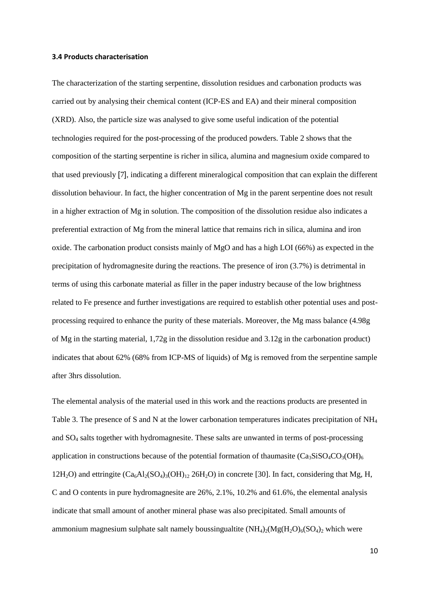## **3.4 Products characterisation**

The characterization of the starting serpentine, dissolution residues and carbonation products was carried out by analysing their chemical content (ICP-ES and EA) and their mineral composition (XRD). Also, the particle size was analysed to give some useful indication of the potential technologies required for the post-processing of the produced powders. Table 2 shows that the composition of the starting serpentine is richer in silica, alumina and magnesium oxide compared to that used previously [7], indicating a different mineralogical composition that can explain the different dissolution behaviour. In fact, the higher concentration of Mg in the parent serpentine does not result in a higher extraction of Mg in solution. The composition of the dissolution residue also indicates a preferential extraction of Mg from the mineral lattice that remains rich in silica, alumina and iron oxide. The carbonation product consists mainly of MgO and has a high LOI (66%) as expected in the precipitation of hydromagnesite during the reactions. The presence of iron (3.7%) is detrimental in terms of using this carbonate material as filler in the paper industry because of the low brightness related to Fe presence and further investigations are required to establish other potential uses and postprocessing required to enhance the purity of these materials. Moreover, the Mg mass balance (4.98g of Mg in the starting material, 1,72g in the dissolution residue and 3.12g in the carbonation product) indicates that about 62% (68% from ICP-MS of liquids) of Mg is removed from the serpentine sample after 3hrs dissolution.

The elemental analysis of the material used in this work and the reactions products are presented in Table 3. The presence of S and N at the lower carbonation temperatures indicates precipitation of  $NH<sub>4</sub>$ and SO<sup>4</sup> salts together with hydromagnesite. These salts are unwanted in terms of post-processing application in constructions because of the potential formation of thaumasite  $(Ca_3SiSO_4CO_3(OH)_6)$  $12H_2O$ ) and ettringite  $(Ca_6Al_2(SO_4)_3(OH)_{12}$  26H<sub>2</sub>O) in concrete [30]. In fact, considering that Mg, H, C and O contents in pure hydromagnesite are 26%, 2.1%, 10.2% and 61.6%, the elemental analysis indicate that small amount of another mineral phase was also precipitated. Small amounts of ammonium magnesium sulphate salt namely boussingualtite  $(NH_4)_2(Mg(H_2O)_6(SO_4)_2$  which were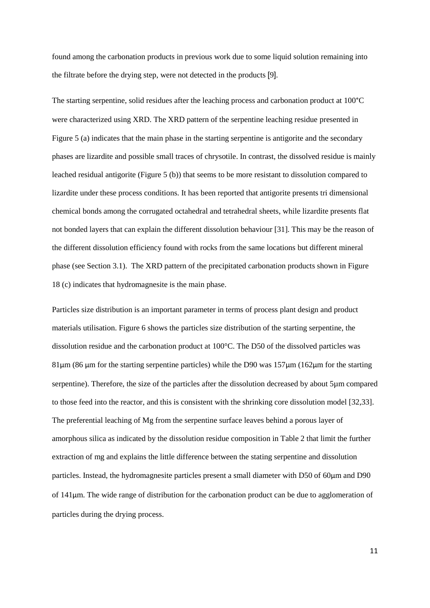found among the carbonation products in previous work due to some liquid solution remaining into the filtrate before the drying step, were not detected in the products [9].

The starting serpentine, solid residues after the leaching process and carbonation product at 100°C were characterized using XRD. The XRD pattern of the serpentine leaching residue presented in Figure 5 (a) indicates that the main phase in the starting serpentine is antigorite and the secondary phases are lizardite and possible small traces of chrysotile. In contrast, the dissolved residue is mainly leached residual antigorite (Figure 5 (b)) that seems to be more resistant to dissolution compared to lizardite under these process conditions. It has been reported that antigorite presents tri dimensional chemical bonds among the corrugated octahedral and tetrahedral sheets, while lizardite presents flat not bonded layers that can explain the different dissolution behaviour [31]. This may be the reason of the different dissolution efficiency found with rocks from the same locations but different mineral phase (see Section 3.1). The XRD pattern of the precipitated carbonation products shown in Figure 18 (c) indicates that hydromagnesite is the main phase.

Particles size distribution is an important parameter in terms of process plant design and product materials utilisation. Figure 6 shows the particles size distribution of the starting serpentine, the dissolution residue and the carbonation product at 100°C. The D50 of the dissolved particles was  $81\mu$ m (86  $\mu$ m for the starting serpentine particles) while the D90 was 157 $\mu$ m (162 $\mu$ m for the starting serpentine). Therefore, the size of the particles after the dissolution decreased by about 5µm compared to those feed into the reactor, and this is consistent with the shrinking core dissolution model [32,33]. The preferential leaching of Mg from the serpentine surface leaves behind a porous layer of amorphous silica as indicated by the dissolution residue composition in Table 2 that limit the further extraction of mg and explains the little difference between the stating serpentine and dissolution particles. Instead, the hydromagnesite particles present a small diameter with D50 of 60µm and D90 of 141µm. The wide range of distribution for the carbonation product can be due to agglomeration of particles during the drying process.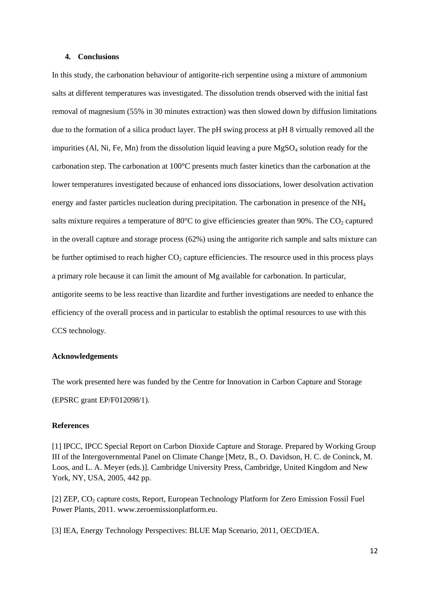# **4. Conclusions**

In this study, the carbonation behaviour of antigorite-rich serpentine using a mixture of ammonium salts at different temperatures was investigated. The dissolution trends observed with the initial fast removal of magnesium (55% in 30 minutes extraction) was then slowed down by diffusion limitations due to the formation of a silica product layer. The pH swing process at pH 8 virtually removed all the impurities (Al, Ni, Fe, Mn) from the dissolution liquid leaving a pure  $MgSO<sub>4</sub>$  solution ready for the carbonation step. The carbonation at 100°C presents much faster kinetics than the carbonation at the lower temperatures investigated because of enhanced ions dissociations, lower desolvation activation energy and faster particles nucleation during precipitation. The carbonation in presence of the NH<sup>4</sup> salts mixture requires a temperature of 80 $^{\circ}$ C to give efficiencies greater than 90%. The CO<sub>2</sub> captured in the overall capture and storage process (62%) using the antigorite rich sample and salts mixture can be further optimised to reach higher  $CO<sub>2</sub>$  capture efficiencies. The resource used in this process plays a primary role because it can limit the amount of Mg available for carbonation. In particular, antigorite seems to be less reactive than lizardite and further investigations are needed to enhance the efficiency of the overall process and in particular to establish the optimal resources to use with this CCS technology.

# **Acknowledgements**

The work presented here was funded by the Centre for Innovation in Carbon Capture and Storage (EPSRC grant EP/F012098/1).

# **References**

[1] IPCC, IPCC Special Report on Carbon Dioxide Capture and Storage. Prepared by Working Group III of the Intergovernmental Panel on Climate Change [Metz, B., O. Davidson, H. C. de Coninck, M. Loos, and L. A. Meyer (eds.)]. Cambridge University Press, Cambridge, United Kingdom and New York, NY, USA, 2005, 442 pp.

[2] ZEP, CO<sub>2</sub> capture costs, Report, European Technology Platform for Zero Emission Fossil Fuel Power Plants, 2011[. www.zeroemissionplatform.eu.](http://www.zeroemissionplatform.eu/)

[3] IEA, Energy Technology Perspectives: BLUE Map Scenario, 2011, OECD/IEA.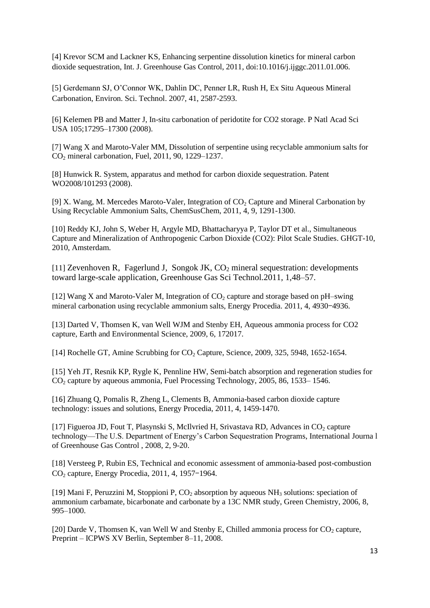[4] Krevor SCM and Lackner KS, Enhancing serpentine dissolution kinetics for mineral carbon dioxide sequestration, Int. J. Greenhouse Gas Control, 2011, doi:10.1016/j.ijggc.2011.01.006.

[5] Gerdemann SJ, O'Connor WK, Dahlin DC, Penner LR, Rush H, Ex Situ Aqueous Mineral Carbonation, Environ. Sci. Technol. 2007, 41, 2587-2593.

[6] Kelemen PB and Matter J, In-situ carbonation of peridotite for CO2 storage. P Natl Acad Sci USA 105;17295–17300 (2008).

[7] Wang X and Maroto-Valer MM, Dissolution of serpentine using recyclable ammonium salts for CO<sup>2</sup> mineral carbonation, Fuel, 2011, 90, 1229–1237.

[8] Hunwick R. System, apparatus and method for carbon dioxide sequestration. Patent WO2008/101293 (2008).

[9] X. Wang, M. Mercedes Maroto-Valer, Integration of  $CO<sub>2</sub>$  Capture and Mineral Carbonation by Using Recyclable Ammonium Salts, ChemSusChem, 2011, 4, 9, 1291-1300.

[10] Reddy KJ, John S, Weber H, Argyle MD, Bhattacharyya P, Taylor DT et al., Simultaneous Capture and Mineralization of Anthropogenic Carbon Dioxide (CO2): Pilot Scale Studies. GHGT-10, 2010, Amsterdam.

[11] Zevenhoven R, Fagerlund J, Songok JK,  $CO<sub>2</sub>$  mineral sequestration: developments toward large-scale application, Greenhouse Gas Sci Technol.2011, 1,48–57.

[12] Wang X and Maroto-Valer M, Integration of  $CO_2$  capture and storage based on pH–swing mineral carbonation using recyclable ammonium salts, Energy Procedia. 2011, 4, 4930–4936.

[13] Darted V, Thomsen K, van Well WJM and Stenby EH, Aqueous ammonia process for CO2 capture, Earth and Environmental Science, 2009, 6, 172017.

[14] [Rochelle](http://www.sciencemag.org/search?author1=Gary+T.+Rochelle&sortspec=date&submit=Submit) GT, Amine Scrubbing for  $CO<sub>2</sub>$  Capture, Science, 2009, 325, 5948, 1652-1654.

[15] Yeh JT, Resnik KP, Rygle K, Pennline HW, Semi-batch absorption and regeneration studies for  $CO<sub>2</sub>$  capture by aqueous ammonia, Fuel Processing Technology, 2005, 86, 1533–1546.

[16] Zhuang Q, Pomalis R, Zheng L, Clements B, Ammonia-based carbon dioxide capture technology: issues and solutions, Energy Procedia, 2011, 4, 1459-1470.

[17] Figueroa JD, Fout T, Plasynski S, McIlvried H, Srivastava RD, Advances in  $CO<sub>2</sub>$  capture technology—The U.S. Department of Energy's Carbon Sequestration Programs, International Journa l of Greenhouse Gas Control , 2008, 2, 9-20.

[18] Versteeg P, Rubin ES, Technical and economic assessment of ammonia-based post-combustion CO<sub>2</sub> capture, Energy Procedia, 2011, 4, 1957–1964.

[19] Mani F, Peruzzini M, Stoppioni P,  $CO<sub>2</sub>$  absorption by aqueous NH<sub>3</sub> solutions: speciation of ammonium carbamate, bicarbonate and carbonate by a 13C NMR study, Green Chemistry, 2006, 8, 995–1000.

[20] Darde V, Thomsen K, van Well W and Stenby E, Chilled ammonia process for  $CO<sub>2</sub>$  capture, Preprint – ICPWS XV Berlin, September 8–11, 2008.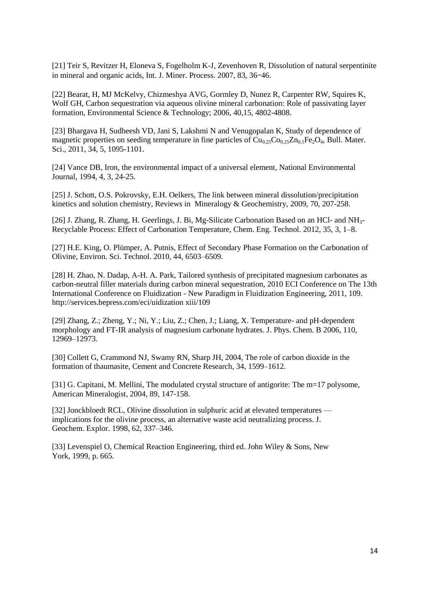[21] Teir S, Revitzer H, Eloneva S, Fogelholm K-J, Zevenhoven R, Dissolution of natural serpentinite in mineral and organic acids, Int. J. Miner. Process. 2007, 83, 36–46.

[22] Bearat, H, MJ McKelvy, Chizmeshya AVG, Gormley D, Nunez R, Carpenter RW, Squires K, Wolf GH, Carbon sequestration via aqueous olivine mineral carbonation: Role of passivating layer formation, Environmental Science & Technology; 2006, 40,15, 4802-4808.

[23] Bhargava H, Sudheesh VD, Jani S, Lakshmi N and Venugopalan K, Study of dependence of magnetic properties on seeding temperature in fine particles of  $Cu_{0.25}Co_{0.25}Zn_{0.5}Fe_2O_4$ , Bull. Mater. Sci., 2011, 34, 5, 1095-1101.

[24] Vance DB, Iron, the environmental impact of a universal element, National Environmental Journal, 1994, 4, 3, 24-25.

[25] J. Schott, O.S. Pokrovsky, E.H. Oelkers, The link between mineral dissolution/precipitation kinetics and solution chemistry, Reviews in Mineralogy & Geochemistry, 2009, 70, 207-258.

[26] J. Zhang, R. Zhang, H. Geerlings, J. Bi, Mg-Silicate Carbonation Based on an HCl- and NH3- Recyclable Process: Effect of Carbonation Temperature, Chem. Eng. Technol. 2012, 35, 3, 1–8.

[27] H.E. King, O. Plümper, A. Putnis, Effect of Secondary Phase Formation on the Carbonation of Olivine, Environ. Sci. Technol. 2010, 44, 6503–6509.

[28] H. Zhao, N. Dadap, A-H. A. Park, Tailored synthesis of precipitated magnesium carbonates as carbon-neutral filler materials during carbon mineral sequestration, 2010 ECI Conference on The 13th International Conference on Fluidization - New Paradigm in Fluidization Engineering, 2011, 109. [http://services.bepress.com/eci/uidization xiii/109](http://services.bepress.com/eci/uidization%20xiii/109)

[29] Zhang, Z.; Zheng, Y.; Ni, Y.; Liu, Z.; Chen, J.; Liang, X. Temperature- and pH-dependent morphology and FT-IR analysis of magnesium carbonate hydrates. J. Phys. Chem. B 2006, 110, 12969–12973.

[30] Collett G, Crammond NJ, Swamy RN, Sharp JH, 2004, The role of carbon dioxide in the formation of thaumasite, Cement and Concrete Research, 34, 1599–1612.

[31] G. Capitani, M. Mellini, The modulated crystal structure of antigorite: The m=17 polysome, American Mineralogist, 2004, 89, 147-158.

[32] Jonckbloedt RCL, Olivine dissolution in sulphuric acid at elevated temperatures implications for the olivine process, an alternative waste acid neutralizing process. J. Geochem. Explor. 1998, 62, 337–346.

[33] Levenspiel O, Chemical Reaction Engineering, third ed. John Wiley & Sons, New York, 1999, p. 665.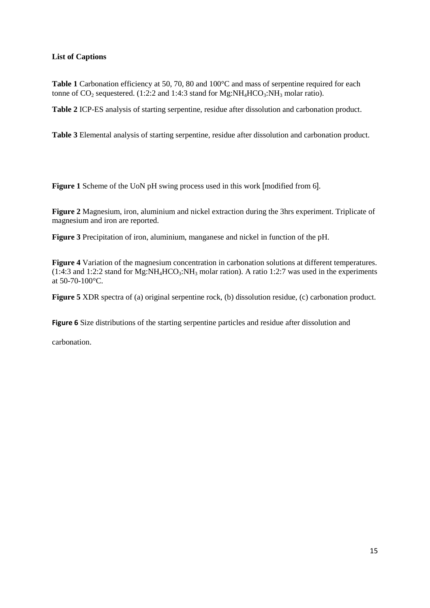# **List of Captions**

Table 1 Carbonation efficiency at 50, 70, 80 and 100°C and mass of serpentine required for each tonne of  $CO_2$  sequestered. (1:2:2 and 1:4:3 stand for  $Mg:NH<sub>4</sub>HCO<sub>3</sub>:NH<sub>3</sub>$  molar ratio).

**Table 2** ICP-ES analysis of starting serpentine, residue after dissolution and carbonation product.

**Table 3** Elemental analysis of starting serpentine, residue after dissolution and carbonation product.

**Figure 1** Scheme of the UoN pH swing process used in this work [modified from 6].

**Figure 2** Magnesium, iron, aluminium and nickel extraction during the 3hrs experiment. Triplicate of magnesium and iron are reported.

**Figure 3** Precipitation of iron, aluminium, manganese and nickel in function of the pH.

**Figure 4** Variation of the magnesium concentration in carbonation solutions at different temperatures.  $(1:4:3$  and  $1:2:2$  stand for Mg:NH<sub>4</sub>HCO<sub>3</sub>:NH<sub>3</sub> molar ration). A ratio 1:2:7 was used in the experiments at 50-70-100°C.

**Figure 5** XDR spectra of (a) original serpentine rock, (b) dissolution residue, (c) carbonation product.

**Figure 6** Size distributions of the starting serpentine particles and residue after dissolution and

carbonation.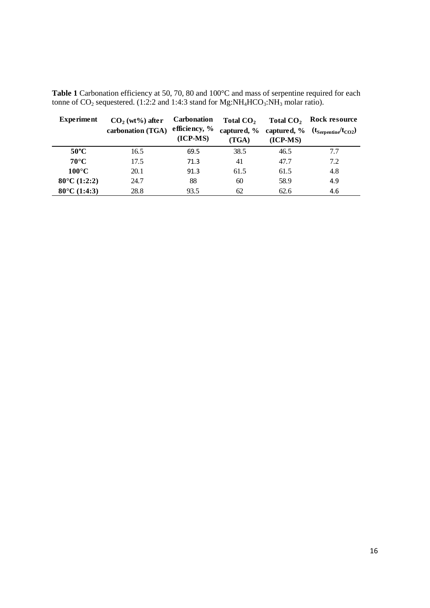| <b>Experiment</b>        | $CO2$ (wt%) after | <b>Carbonation</b> | Total CO <sub>2</sub> | Total CO <sub>2</sub> | Rock resource                                      |  |  |
|--------------------------|-------------------|--------------------|-----------------------|-----------------------|----------------------------------------------------|--|--|
|                          | carbonation (TGA) | efficiency, %      |                       |                       | captured, % captured, % $(t_{Serpentine}/t_{CO2})$ |  |  |
|                          |                   | $(ICP-MS)$         | (TGA)                 | $(ICP-MS)$            |                                                    |  |  |
| $50^{\circ}$ C           | 16.5              | 69.5               | 38.5                  | 46.5                  | 7.7                                                |  |  |
| $70^{\circ}$ C           | 17.5              | 71.3               | 41                    | 47.7                  | 7.2                                                |  |  |
| $100^{\circ}$ C          | 20.1              | 91.3               | 61.5                  | 61.5                  | 4.8                                                |  |  |
| $80^{\circ}$ C (1:2:2)   | 24.7              | 88                 | 60                    | 58.9                  | 4.9                                                |  |  |
| $80^{\circ}$ C $(1:4:3)$ | 28.8              | 93.5               | 62                    | 62.6                  | 4.6                                                |  |  |

Table 1 Carbonation efficiency at 50, 70, 80 and 100°C and mass of serpentine required for each tonne of  $CO_2$  sequestered. (1:2:2 and 1:4:3 stand for Mg:NH<sub>4</sub>HCO<sub>3</sub>:NH<sub>3</sub> molar ratio).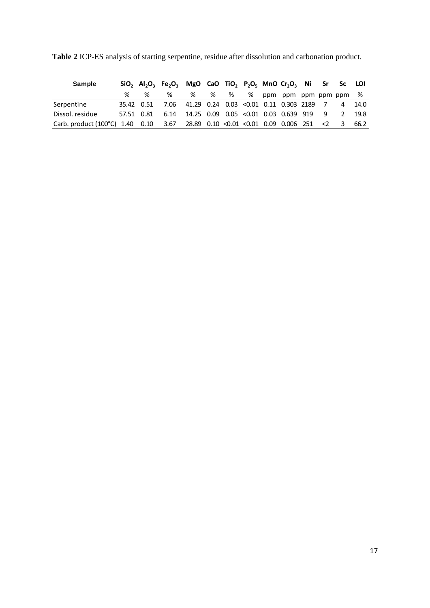| <b>Sample</b>                                                                 |  | $SiO_2$ Al <sub>2</sub> O <sub>3</sub> Fe <sub>2</sub> O <sub>3</sub> MgO CaO TiO <sub>2</sub> P <sub>2</sub> O <sub>5</sub> MnO Cr <sub>2</sub> O <sub>3</sub> Ni Sr Sc LOI |  |  |                               |  |                         |      |
|-------------------------------------------------------------------------------|--|------------------------------------------------------------------------------------------------------------------------------------------------------------------------------|--|--|-------------------------------|--|-------------------------|------|
|                                                                               |  | %                                                                                                                                                                            |  |  | % % % % ppm ppm ppm ppm ppm % |  |                         |      |
| Serpentine                                                                    |  | 35.42 0.51 7.06 41.29 0.24 0.03 < 0.01 0.11 0.303 2189 7 4 14.0                                                                                                              |  |  |                               |  |                         |      |
| Dissol. residue                                                               |  | 57.51 0.81 6.14 14.25 0.09 0.05 < 0.01 0.03 0.639 919 9 2                                                                                                                    |  |  |                               |  |                         | 19.8 |
| Carb. product (100°C) 1.40 0.10 3.67 28.89 0.10 <0.01 <0.01 0.09 0.006 251 <2 |  |                                                                                                                                                                              |  |  |                               |  | $\overline{\mathbf{3}}$ | 66.2 |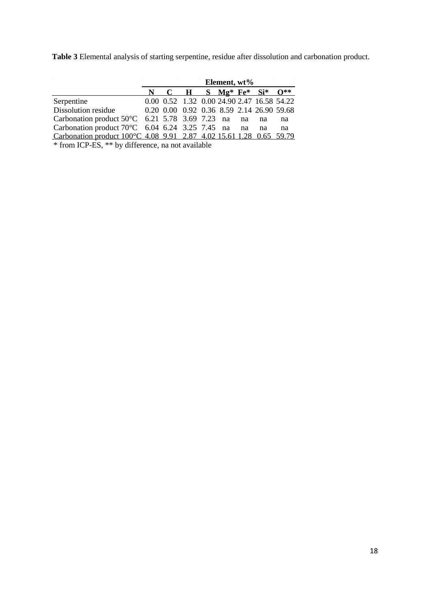**Table 3** Elemental analysis of starting serpentine, residue after dissolution and carbonation product.

|                                                                     | Element, wt% |  |  |  |  |  |                                            |    |
|---------------------------------------------------------------------|--------------|--|--|--|--|--|--------------------------------------------|----|
|                                                                     |              |  |  |  |  |  | N C H S $M\varrho^*$ Fe* Si* $O^{**}$      |    |
| Serpentine                                                          |              |  |  |  |  |  | 0.00 0.52 1.32 0.00 24.90 2.47 16.58 54.22 |    |
| Dissolution residue                                                 |              |  |  |  |  |  | 0.20 0.00 0.92 0.36 8.59 2.14 26.90 59.68  |    |
| Carbonation product $50^{\circ}$ C 6.21 5.78 3.69 7.23 na na na     |              |  |  |  |  |  |                                            | na |
| Carbonation product $70^{\circ}$ C 6.04 6.24 3.25 7.45 na na        |              |  |  |  |  |  | na                                         | na |
| Carbonation product 100°C 4.08 9.91 2.87 4.02 15.61 1.28 0.65 59.79 |              |  |  |  |  |  |                                            |    |

\* from ICP-ES, \*\* by difference, na not available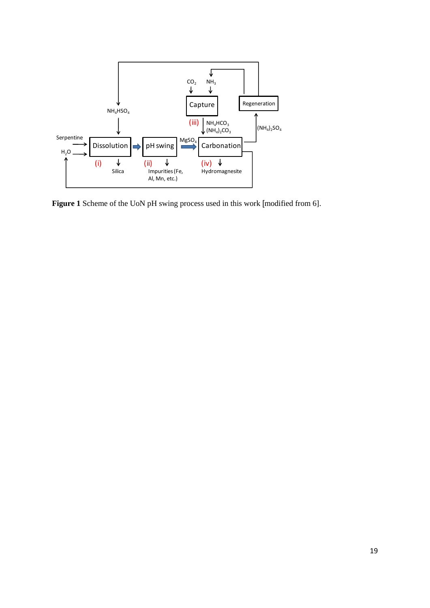

**Figure 1** Scheme of the UoN pH swing process used in this work [modified from 6].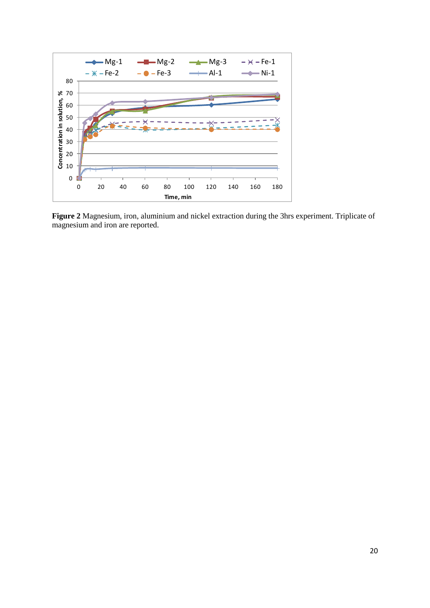

**Figure 2** Magnesium, iron, aluminium and nickel extraction during the 3hrs experiment. Triplicate of magnesium and iron are reported.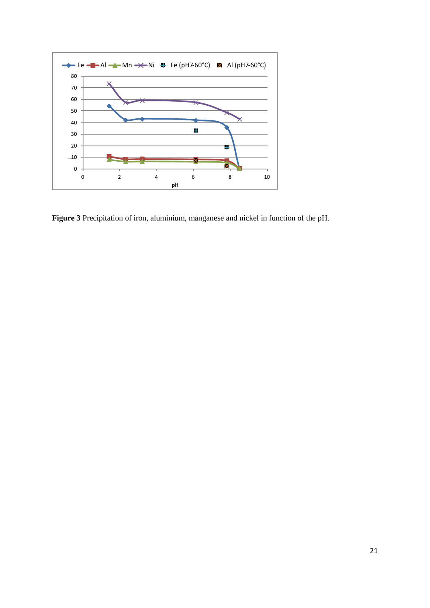

**Figure 3** Precipitation of iron, aluminium, manganese and nickel in function of the pH.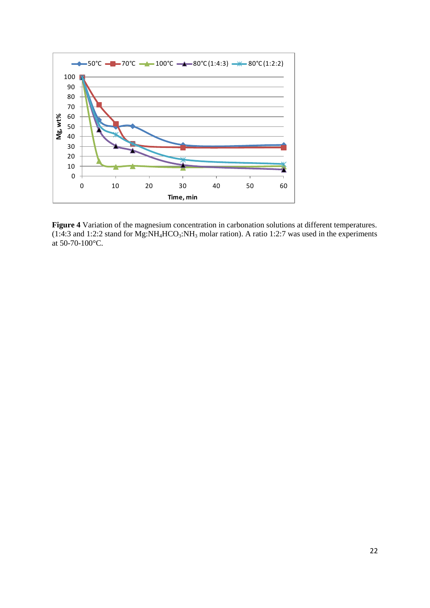

**Figure 4** Variation of the magnesium concentration in carbonation solutions at different temperatures.  $(1:4:3$  and 1:2:2 stand for Mg:NH<sub>4</sub>HCO<sub>3</sub>:NH<sub>3</sub> molar ration). A ratio 1:2:7 was used in the experiments at 50-70-100°C.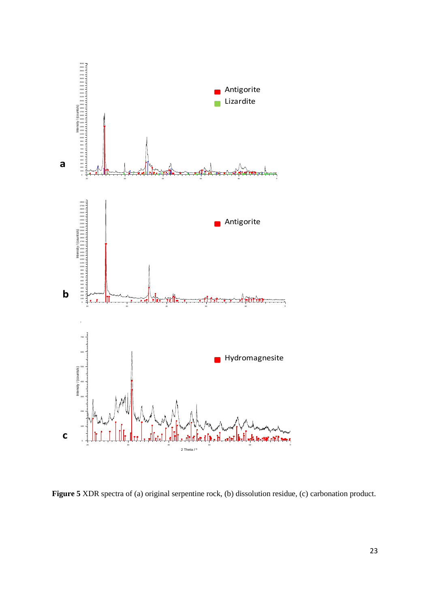